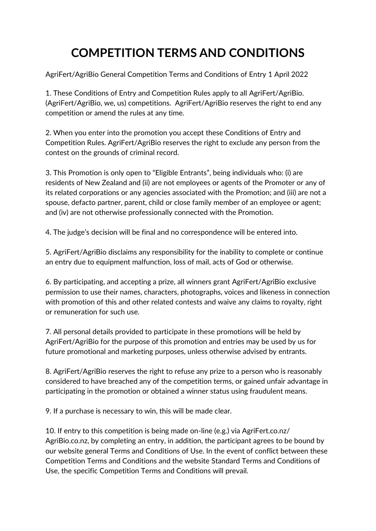## **COMPETITION TERMS AND CONDITIONS**

AgriFert/AgriBio General Competition Terms and Conditions of Entry 1 April 2022

1. These Conditions of Entry and Competition Rules apply to all AgriFert/AgriBio. (AgriFert/AgriBio, we, us) competitions. AgriFert/AgriBio reserves the right to end any competition or amend the rules at any time.

2. When you enter into the promotion you accept these Conditions of Entry and Competition Rules. AgriFert/AgriBio reserves the right to exclude any person from the contest on the grounds of criminal record.

3. This Promotion is only open to "Eligible Entrants", being individuals who: (i) are residents of New Zealand and (ii) are not employees or agents of the Promoter or any of its related corporations or any agencies associated with the Promotion; and (iii) are not a spouse, defacto partner, parent, child or close family member of an employee or agent; and (iv) are not otherwise professionally connected with the Promotion.

4. The judge's decision will be final and no correspondence will be entered into.

5. AgriFert/AgriBio disclaims any responsibility for the inability to complete or continue an entry due to equipment malfunction, loss of mail, acts of God or otherwise.

6. By participating, and accepting a prize, all winners grant AgriFert/AgriBio exclusive permission to use their names, characters, photographs, voices and likeness in connection with promotion of this and other related contests and waive any claims to royalty, right or remuneration for such use.

7. All personal details provided to participate in these promotions will be held by AgriFert/AgriBio for the purpose of this promotion and entries may be used by us for future promotional and marketing purposes, unless otherwise advised by entrants.

8. AgriFert/AgriBio reserves the right to refuse any prize to a person who is reasonably considered to have breached any of the competition terms, or gained unfair advantage in participating in the promotion or obtained a winner status using fraudulent means.

9. If a purchase is necessary to win, this will be made clear.

10. If entry to this competition is being made on-line (e.g.) via [AgriFert.co.nz/](http://www.agrifert.co.nz/) AgriBio.co.nz, by completing an entry, in addition, the participant agrees to be bound by our website general Terms and Conditions of Use. In the event of conflict between these Competition Terms and Conditions and the website Standard Terms and Conditions of Use, the specific Competition Terms and Conditions will prevail.